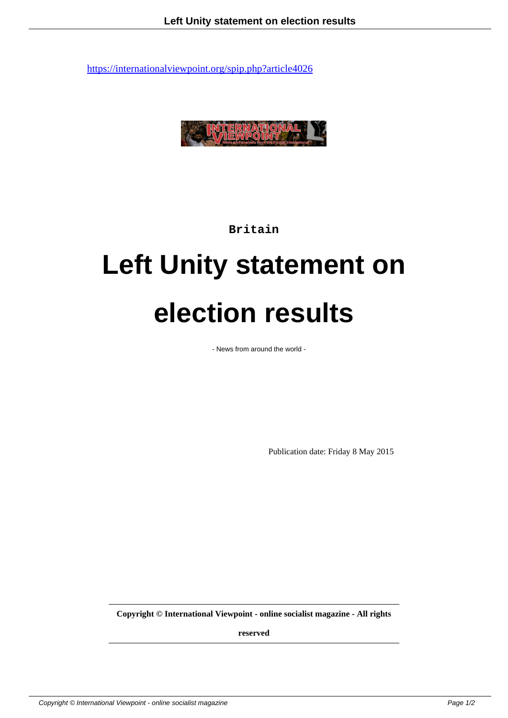

**Britain**

## **Left Unity statement on election results**

- News from around the world -

Publication date: Friday 8 May 2015

**Copyright © International Viewpoint - online socialist magazine - All rights**

**reserved**